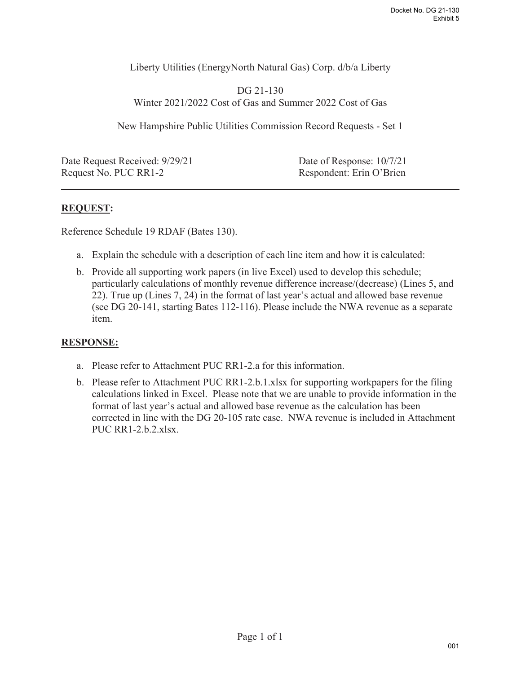Liberty Utilities (EnergyNorth Natural Gas) Corp. d/b/a Liberty

DG 21-130 Winter 2021/2022 Cost of Gas and Summer 2022 Cost of Gas

New Hampshire Public Utilities Commission Record Requests - Set 1

Date Request Received:  $9/29/21$  Date of Response:  $10/7/21$ Request No. PUC RR1-2 Respondent: Erin O'Brien

## **REQUEST:**

Reference Schedule 19 RDAF (Bates 130).

- a. Explain the schedule with a description of each line item and how it is calculated:
- b. Provide all supporting work papers (in live Excel) used to develop this schedule; particularly calculations of monthly revenue difference increase/(decrease) (Lines 5, and 22). True up (Lines 7, 24) in the format of last year's actual and allowed base revenue (see DG 20-141, starting Bates 112-116). Please include the NWA revenue as a separate item.

## **RESPONSE:**

- a. Please refer to Attachment PUC RR1-2.a for this information.
- b. Please refer to Attachment PUC RR1-2.b.1.xlsx for supporting workpapers for the filing calculations linked in Excel. Please note that we are unable to provide information in the format of last year's actual and allowed base revenue as the calculation has been corrected in line with the DG 20-105 rate case. NWA revenue is included in Attachment PUC RR1-2.b.2.xlsx.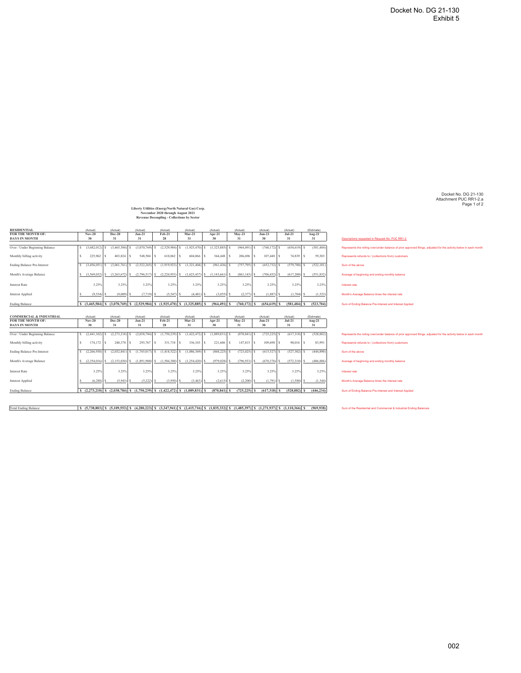Docket No. DG 21-130 Attachment PUC RR1-2.a Page 1 of 2

**Liberty Utilities (EnergyNorth Natural Gas) Corp. November 2020 through August 2021 Revenue Decoupling - Collections by Sector**

| FOR THE MONTH OF:<br><b>DAYS IN MONTH</b>                                                                                   | $Nov-20$<br>30                                                                      | Dec-20<br>31          | $Jan-21$<br>31                  | Feb-21<br>28                                                    | $Mar-21$<br>31       | Apr-21<br>30       | $Mav-21$<br>31       | (Actual)<br>$Jun-21$<br>30 | (Actual)<br>$Jul-21$<br>31 | Aug-21<br>31           | Descriptions requested in Request No. PUC RR1-2                                                                                                                       |
|-----------------------------------------------------------------------------------------------------------------------------|-------------------------------------------------------------------------------------|-----------------------|---------------------------------|-----------------------------------------------------------------|----------------------|--------------------|----------------------|----------------------------|----------------------------|------------------------|-----------------------------------------------------------------------------------------------------------------------------------------------------------------------|
|                                                                                                                             |                                                                                     |                       |                                 |                                                                 |                      |                    |                      |                            |                            |                        |                                                                                                                                                                       |
| Over / Under Beginning Balance                                                                                              | $(3,682,012)$ S<br>١s                                                               | $(3,465,584)$ \$      | $(3,070,769)$ S                 | $(2,529,984)$ \$                                                | $(1,925,470)$ \$     | $(1.325.885)$ S    | (964, 491)           | $(760, 172)$ \$            | $(654, 619)$ \$            | (581, 484)             | Represents the rolling over/under balance of prior approved filings, adjusted for the activity below in each month                                                    |
| Monthly billing activity                                                                                                    | 225.962<br>$\sim$                                                                   | $403,824$ S<br>$\sim$ | 548,504 \$                      | 610,062                                                         | 604,066<br>-S        | $364,448$ \$       | 206,696              | 107,440                    | 74,839 S                   | 59,303                 | Represents refunds to / (collections from) customers                                                                                                                  |
| <b>Ending Balance Pre-Interest</b>                                                                                          | (3,456,051)                                                                         | $(3,061,761)$ S       | $(2,522,265)$ S                 | (1,919,923)                                                     | (1,321,404)          | $(961, 436)$ \$    | $(757, 795)$ \$      | $(652, 732)$ \$            | $(579,780)$ \$             | (522, 181)             | Sum of the above                                                                                                                                                      |
| Month's Average Balance                                                                                                     | (3.569.032)<br>s                                                                    | $(3.263.672)$ S       | (2,796,517)                     | (2,224,953)                                                     | (1,623,437)          | s.<br>(1,143,661)  | (861.143)            | $(706, 452)$ \$            | $(617,200)$ S              | (551, 832)             | Average of beginning and ending monthly balance                                                                                                                       |
| <b>Interest Rate</b>                                                                                                        | 3.25%                                                                               | 3.25%                 | 3.25%                           | 3.25%                                                           | 3.25%                | 3.25%              | 3.25%                | 3.25%                      | 3.25%                      | 3.25%                  | Interest rate                                                                                                                                                         |
| Interest Applied                                                                                                            | $(9.534)$ S                                                                         | $(9.009)$ S           | $(7,719)$ S                     | $(5,547)$ \$                                                    | (4, 481)             | (3,055)            | $(2,377)$ \$         | $(1,887)$ \$               | $(1,704)$ S                | (1,523)                | Month's Average Balance times the interest rate                                                                                                                       |
|                                                                                                                             |                                                                                     |                       |                                 |                                                                 |                      | $(964, 491)$ S     | $(760, 172)$ S       | $(654.619)$ S              | $(581.484)$ S              | (523, 704)             | Sum of Ending Balance Pre-Interest and Interest Applied                                                                                                               |
| <b>Ending Balance</b>                                                                                                       | $S$ (3,465,584) $S$ (3,070,769) $S$ (2,529,984) $S$ (1,925,470) $S$ (1,325,885) $S$ |                       |                                 |                                                                 |                      |                    |                      |                            |                            |                        |                                                                                                                                                                       |
| <b>COMMERCIAL &amp; INDUSTRIAL</b><br>FOR THE MONTH OF:                                                                     | (Actual)<br>$Nov-20$                                                                | (Actual)<br>Dec-20    | (Actual)<br>$Jan-21$            | (Actual)<br>Feb-21                                              | (Actual)<br>$Mar-21$ | (Actual)<br>Apr-21 | (Actual)<br>$Mav-21$ | (Actual)<br>$Jun-21$       | (Actual)<br>$Jul-21$       | (Estimate)<br>$Aug-21$ |                                                                                                                                                                       |
| <b>DAYS IN MONTH</b>                                                                                                        | 30                                                                                  | 31                    | 31                              | 28                                                              | 31                   | 30                 | 31                   | 30                         | 31                         | 31                     |                                                                                                                                                                       |
|                                                                                                                             | $(2,441,102)$ S<br>$\sim$                                                           | $(2,273,218)$ S       | $(2,038,784)$ S                 | $(1,750,239)$ \$                                                | $(1,422,472)$ \$     | $(1,089,831)$ \$   | (870, 841)           | $(725, 225)$ \$            | $(617,318)$ \$             | (528, 882)             |                                                                                                                                                                       |
|                                                                                                                             | $\sim$<br>$174.172$ S                                                               | 240,378               | 293,767 S<br><sup>S</sup>       | 331,718 S                                                       | 336,103 S            | 221,606 S          | $147.815$ S          | 109,698                    | $90.016$ S                 | 83,991                 | Represents refunds to / (collections from) customers                                                                                                                  |
|                                                                                                                             | $(2,266,930)$ S                                                                     |                       | $(2,032,841)$ S $(1,745,017)$ S | $(1,418,522)$ \$                                                | $(1,086,369)$ \$     | $(868, 225)$ \$    | $(723, 025)$ \$      | $(615,527)$ \$             | $(527,302)$ \$             | (444.890)              | Sum of the above                                                                                                                                                      |
| Over / Under Beginning Balance<br>Monthly billing activity<br><b>Ending Balance Pre-Interest</b><br>Month's Average Balance |                                                                                     |                       |                                 | $(2.354.016)$ S $(2.153.030)$ S $(1.891.900)$ S $(1.584.380)$ S | (1,254,420)          | (979.028)          | (796.933)<br>-S      | $(670.376)$ S              | $(572.310)$ S              | (486,886)              | Represents the rolling over/under balance of prior approved filings, adjusted for the activity below in each month<br>Average of beginning and ending monthly balance |
| <b>Interest Rate</b>                                                                                                        | 3.25%                                                                               | 3.25%                 | 3.25%                           | 3.25%                                                           | 3.25%                | 3.25%              | 3.25%                | 3.25%                      | 3.25%                      | 3.25%                  | Interest rate                                                                                                                                                         |
| <b>Interest Applied</b>                                                                                                     | $(6,288)$ S                                                                         | $(5,943)$ S           | $(5,222)$ S                     | (3.950)                                                         | (3, 463)             | (2,615)            | (2,200)              | $(1,791)$ \$               | $(1,580)$ \$               | (1,344)                | Month's Average Balance times the interest rate                                                                                                                       |

[Total Ending Balance States 36 (5.738,803) 5 (5,109,553) 5 (4,280,223) 5 (3,247,941) 5 (2,415,716) 5 (1,835,332) 5 (1,485,332) 5 (1,271,937) 5 (1,110,366) 5 (969,938) Sum of the Residential and Commercial & Industrial End